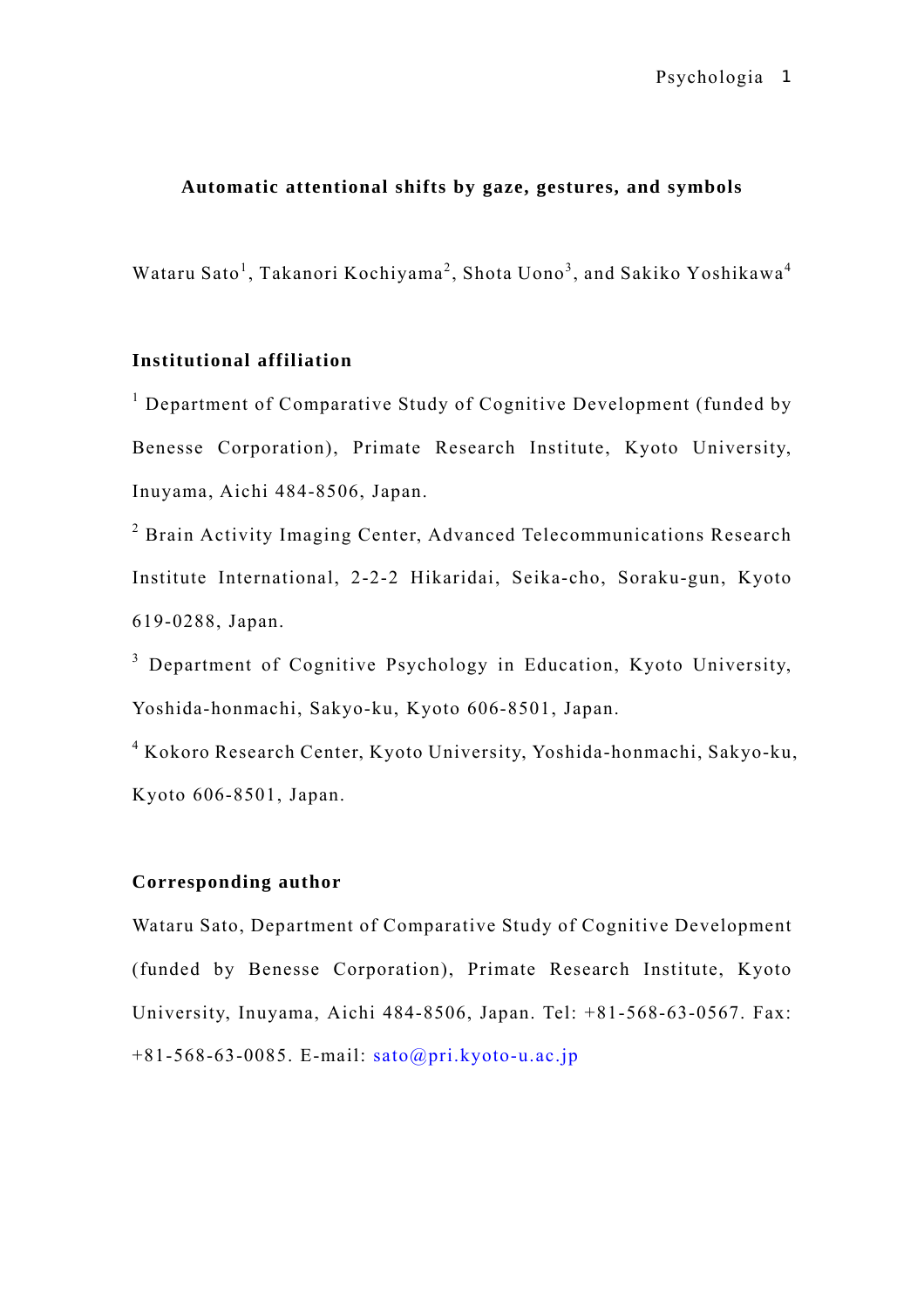# **Automatic attentional shifts by gaze, gestures, and symbols**

Wataru Sato<sup>1</sup>, Takanori Kochiyama<sup>2</sup>, Shota Uono<sup>3</sup>, and Sakiko Yoshikawa<sup>4</sup>

# **Institutional affiliation**

<sup>1</sup> Department of Comparative Study of Cognitive Development (funded by Benesse Corporation), Primate Research Institute, Kyoto University, Inuyama, Aichi 484-8506, Japan.

<sup>2</sup> Brain Activity Imaging Center, Advanced Telecommunications Research Institute International, 2-2-2 Hikaridai, Seika-cho, Soraku-gun, Kyoto 619-0288, Japan.

<sup>3</sup> Department of Cognitive Psychology in Education, Kyoto University, Yoshida-honmachi, Sakyo-ku, Kyoto 606-8501, Japan.

4 Kokoro Research Center, Kyoto University, Yoshida-honmachi, Sakyo-ku, Kyoto 606-8501, Japan.

# **Corresponding author**

Wataru Sato, Department of Comparative Study of Cognitive Development (funded by Benesse Corporation), Primate Research Institute, Kyoto University, Inuyama, Aichi 484-8506, Japan. Tel: +81-568-63-0567. Fax: +81-568-63-0085. E-mail: [sato@pri.kyoto-u.ac.jp](mailto:sato@pri.kyoto-u.ac.jp)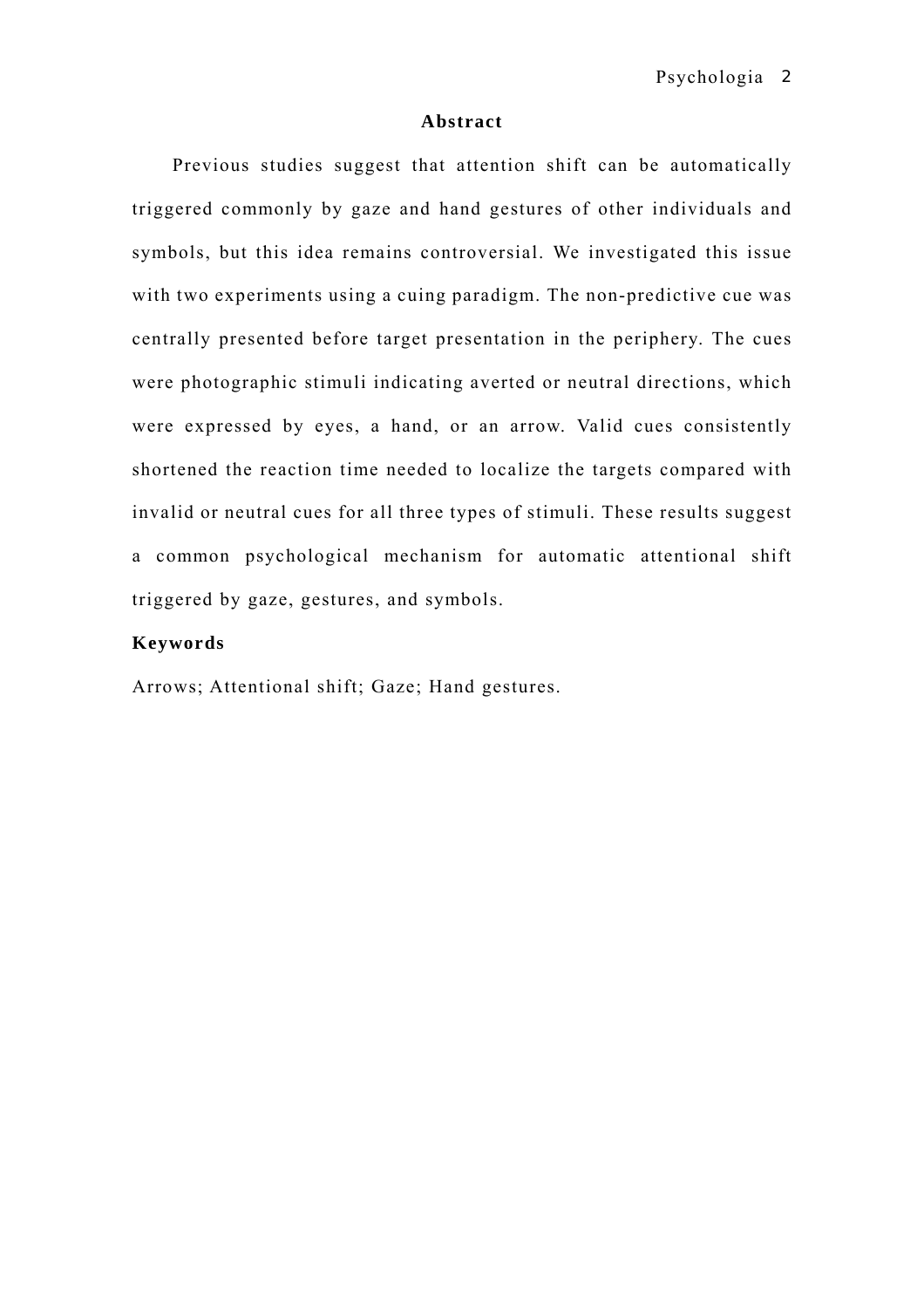### **Abstract**

Previous studies suggest that attention shift can be automatically triggered commonly by gaze and hand gestures of other individuals and symbols, but this idea remains controversial. We investigated this issue with two experiments using a cuing paradigm. The non-predictive cue was centrally presented before target presentation in the periphery. The cues were photographic stimuli indicating averted or neutral directions, which were expressed by eyes, a hand, or an arrow. Valid cues consistently shortened the reaction time needed to localize the targets compared with invalid or neutral cues for all three types of stimuli. These results suggest a common psychological mechanism for automatic attentional shift triggered by gaze, gestures, and symbols.

# **Keywords**

Arrows; Attentional shift; Gaze; Hand gestures.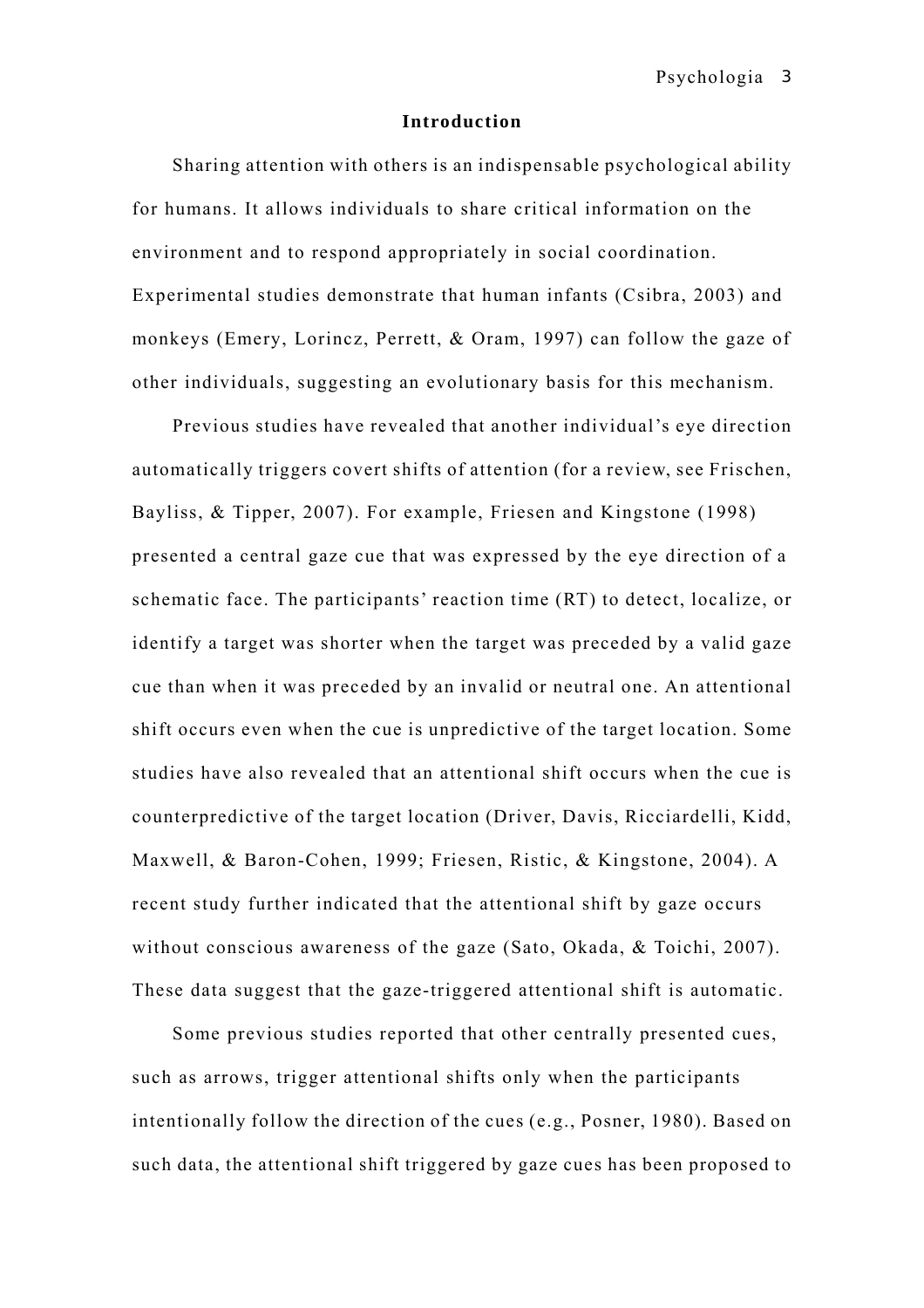#### **Introduction**

Sharing attention with others is an indispensable psychological ability for humans. It allows individuals to share critical information on the environment and to respond appropriately in social coordination. Experimental studies demonstrate that human infants (Csibra, 2003) and monkeys (Emery, Lorincz, Perrett, & Oram, 1997) can follow the gaze of other individuals, suggesting an evolutionary basis for this mechanism.

Previous studies have revealed that another individual's eye direction automatically triggers covert shifts of attention (for a review, see Frischen, Bayliss, & Tipper, 2007). For example, Friesen and Kingstone (1998) presented a central gaze cue that was expressed by the eye direction of a schematic face. The participants' reaction time (RT) to detect, localize, or identify a target was shorter when the target was preceded by a valid gaze cue than when it was preceded by an invalid or neutral one. An attentional shift occurs even when the cue is unpredictive of the target location. Some studies have also revealed that an attentional shift occurs when the cue is counterpredictive of the target location (Driver, Davis, Ricciardelli, Kidd, Maxwell, & Baron-Cohen, 1999; Friesen, Ristic, & Kingstone, 2004). A recent study further indicated that the attentional shift by gaze occurs without conscious awareness of the gaze (Sato, Okada, & Toichi, 2007). These data suggest that the gaze-triggered attentional shift is automatic.

Some previous studies reported that other centrally presented cues, such as arrows, trigger attentional shifts only when the participants intentionally follow the direction of the cues (e.g., Posner, 1980). Based on such data, the attentional shift triggered by gaze cues has been proposed to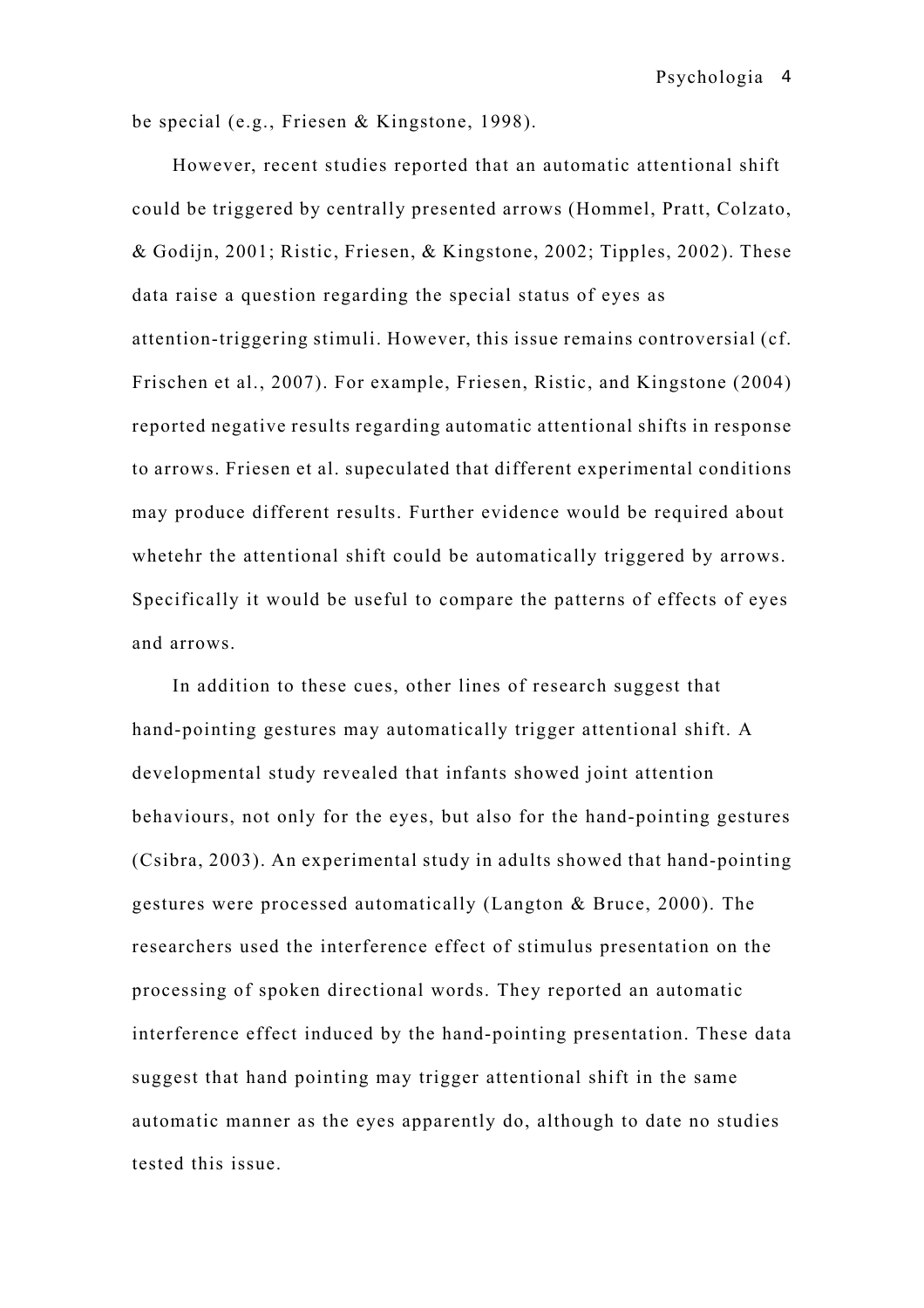be special (e.g., Friesen & Kingstone, 1998).

However, recent studies reported that an automatic attentional shift could be triggered by centrally presented arrows (Hommel, Pratt, Colzato, & Godijn, 2001; Ristic, Friesen, & Kingstone, 2002; Tipples, 2002). These data raise a question regarding the special status of eyes as attention-triggering stimuli. However, this issue remains controversial (cf. Frischen et al., 2007). For example, Friesen, Ristic, and Kingstone (2004) reported negative results regarding automatic attentional shifts in response to arrows. Friesen et al. supeculated that different experimental conditions may produce different results. Further evidence would be required about whetehr the attentional shift could be automatically triggered by arrows. Specifically it would be useful to compare the patterns of effects of eyes and arrows.

In addition to these cues, other lines of research suggest that hand-pointing gestures may automatically trigger attentional shift. A developmental study revealed that infants showed joint attention behaviours, not only for the eyes, but also for the hand-pointing gestures (Csibra, 2003). An experimental study in adults showed that hand-pointing gestures were processed automatically (Langton & Bruce, 2000). The researchers used the interference effect of stimulus presentation on the processing of spoken directional words. They reported an automatic interference effect induced by the hand-pointing presentation. These data suggest that hand pointing may trigger attentional shift in the same automatic manner as the eyes apparently do, although to date no studies tested this issue.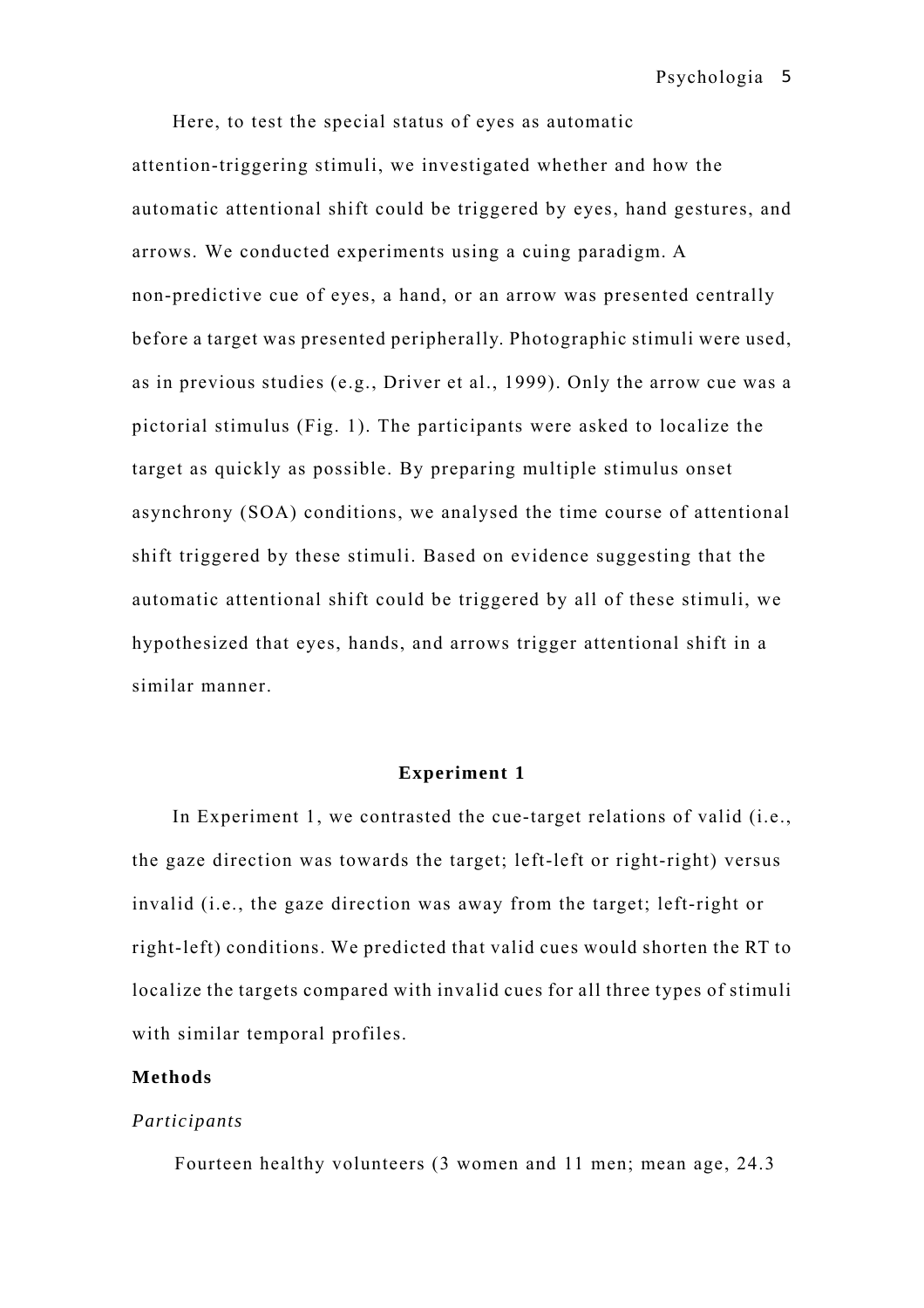Psychologia 5

Here, to test the special status of eyes as automatic attention-triggering stimuli, we investigated whether and how the automatic attentional shift could be triggered by eyes, hand gestures, and arrows. We conducted experiments using a cuing paradigm. A non-predictive cue of eyes, a hand, or an arrow was presented centrally before a target was presented peripherally. Photographic stimuli were used, as in previous studies (e.g., Driver et al., 1999). Only the arrow cue was a pictorial stimulus (Fig. 1). The participants were asked to localize the target as quickly as possible. By preparing multiple stimulus onset asynchrony (SOA) conditions, we analysed the time course of attentional shift triggered by these stimuli. Based on evidence suggesting that the automatic attentional shift could be triggered by all of these stimuli, we hypothesized that eyes, hands, and arrows trigger attentional shift in a similar manner.

### **Experiment 1**

In Experiment 1, we contrasted the cue-target relations of valid (i.e., the gaze direction was towards the target; left-left or right-right) versus invalid (i.e., the gaze direction was away from the target; left-right or right-left) conditions. We predicted that valid cues would shorten the RT to localize the targets compared with invalid cues for all three types of stimuli with similar temporal profiles.

### **Methods**

### *Participants*

Fourteen healthy volunteers (3 women and 11 men; mean age, 24.3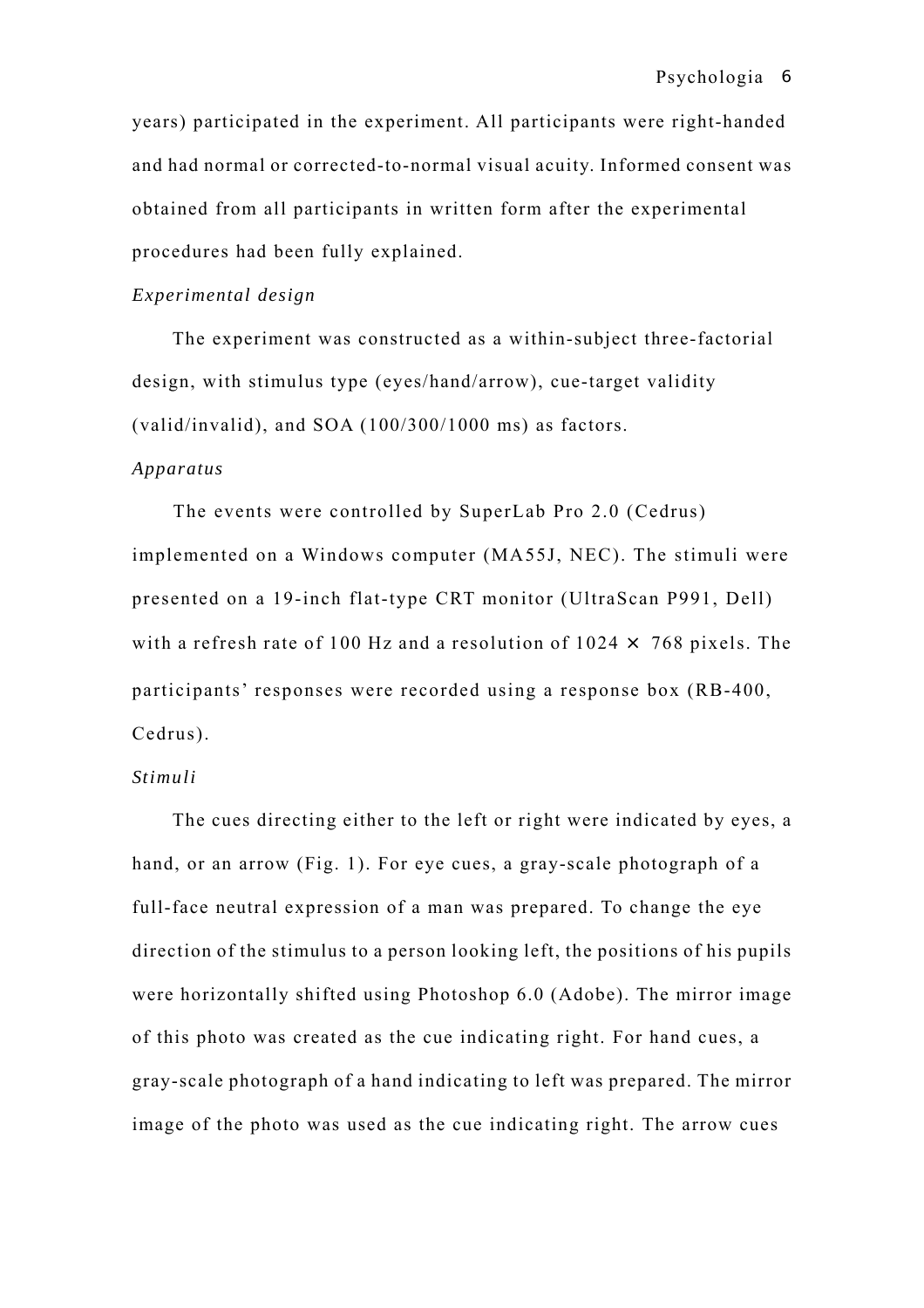years) participated in the experiment. All participants were right-handed and had normal or corrected-to-normal visual acuity. Informed consent was obtained from all participants in written form after the experimental procedures had been fully explained.

### *Experimental design*

The experiment was constructed as a within-subject three-factorial design, with stimulus type (eyes/hand/arrow), cue-target validity (valid/invalid), and SOA (100/300/1000 ms) as factors.

# *Apparatus*

The events were controlled by SuperLab Pro 2.0 (Cedrus) implemented on a Windows computer (MA55J, NEC). The stimuli were presented on a 19-inch flat-type CRT monitor (UltraScan P991, Dell) with a refresh rate of 100 Hz and a resolution of  $1024 \times 768$  pixels. The participants' responses were recorded using a response box (RB-400, Cedrus).

# *Stimuli*

The cues directing either to the left or right were indicated by eyes, a hand, or an arrow (Fig. 1). For eye cues, a gray-scale photograph of a full-face neutral expression of a man was prepared. To change the eye direction of the stimulus to a person looking left, the positions of his pupils were horizontally shifted using Photoshop 6.0 (Adobe). The mirror image of this photo was created as the cue indicating right. For hand cues, a gray-scale photograph of a hand indicating to left was prepared. The mirror image of the photo was used as the cue indicating right. The arrow cues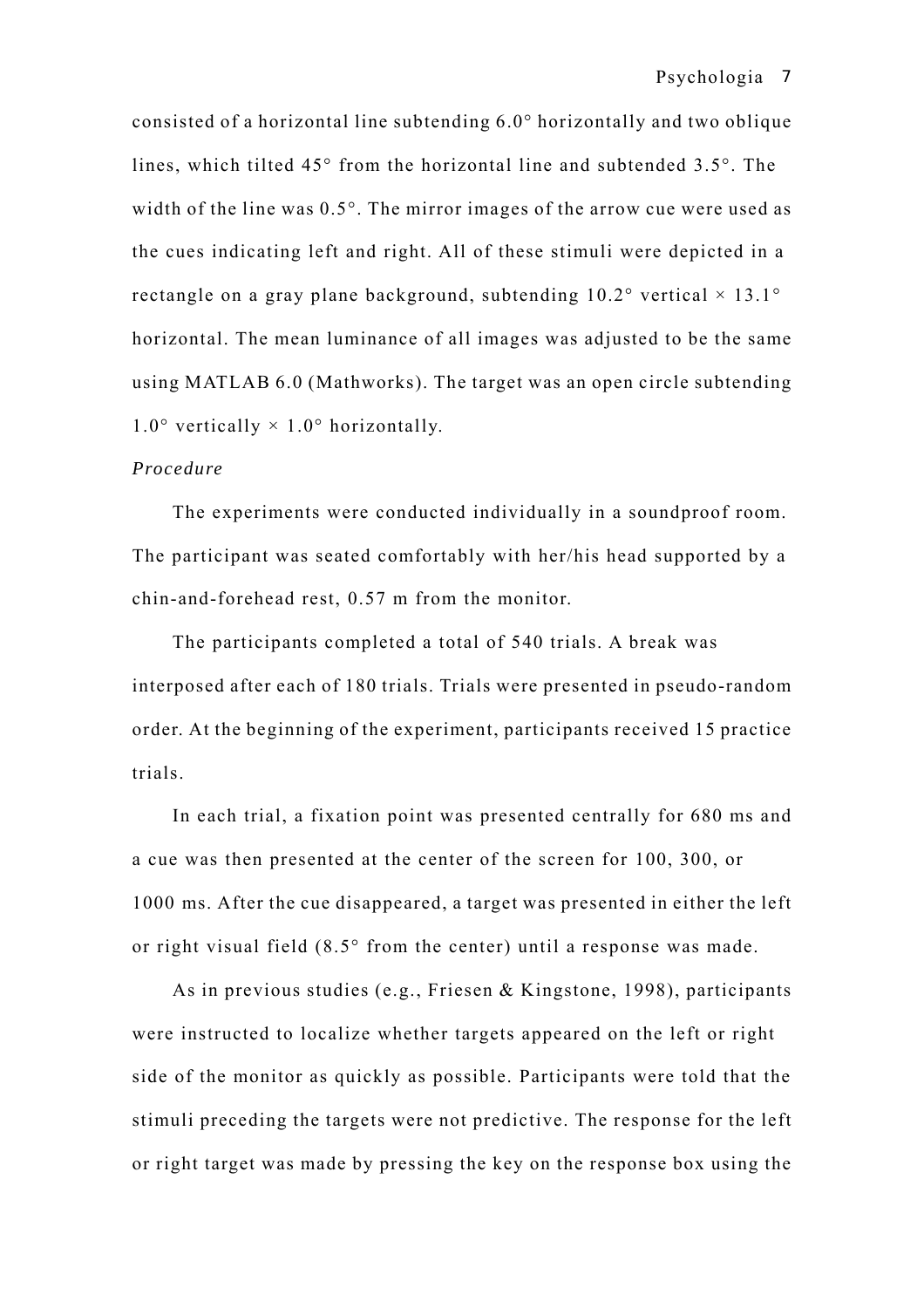consisted of a horizontal line subtending 6.0° horizontally and two oblique lines, which tilted 45° from the horizontal line and subtended 3.5°. The width of the line was 0.5°. The mirror images of the arrow cue were used as the cues indicating left and right. All of these stimuli were depicted in a rectangle on a gray plane background, subtending  $10.2^{\circ}$  vertical  $\times$  13.1° horizontal. The mean luminance of all images was adjusted to be the same using MATLAB 6.0 (Mathworks). The target was an open circle subtending  $1.0^\circ$  vertically  $\times$  1.0° horizontally.

# *Procedure*

The experiments were conducted individually in a soundproof room. The participant was seated comfortably with her/his head supported by a chin-and-forehead rest, 0.57 m from the monitor.

The participants completed a total of 540 trials. A break was interposed after each of 180 trials. Trials were presented in pseudo-random order. At the beginning of the experiment, participants received 15 practice trials.

In each trial, a fixation point was presented centrally for 680 ms and a cue was then presented at the center of the screen for 100, 300, or 1000 ms. After the cue disappeared, a target was presented in either the left or right visual field (8.5° from the center) until a response was made.

As in previous studies (e.g., Friesen & Kingstone, 1998), participants were instructed to localize whether targets appeared on the left or right side of the monitor as quickly as possible. Participants were told that the stimuli preceding the targets were not predictive. The response for the left or right target was made by pressing the key on the response box using the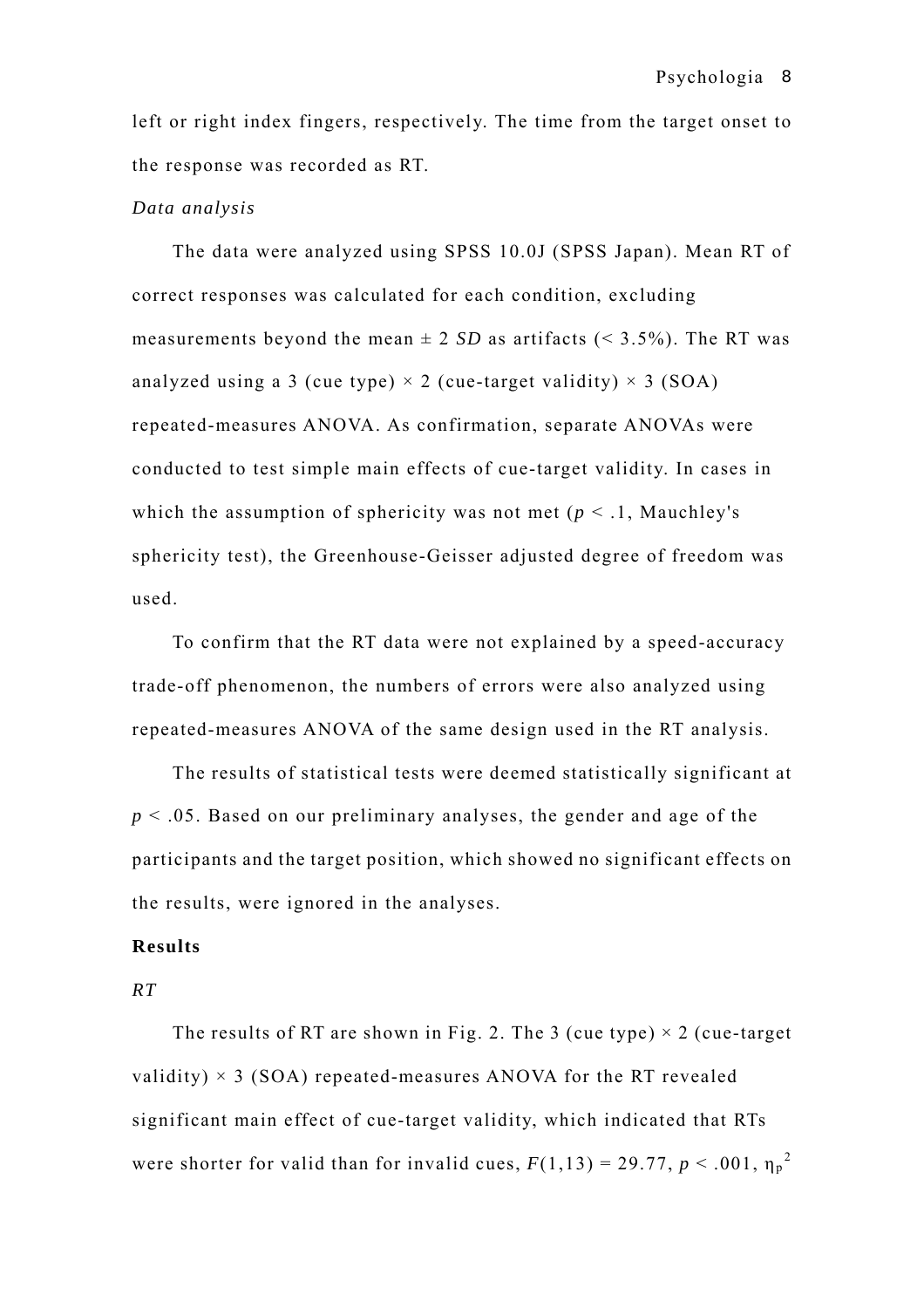left or right index fingers, respectively. The time from the target onset to the response was recorded as RT.

## *Data analysis*

The data were analyzed using SPSS 10.0J (SPSS Japan). Mean RT of correct responses was calculated for each condition, excluding measurements beyond the mean  $\pm 2$  *SD* as artifacts (< 3.5%). The RT was analyzed using a 3 (cue type)  $\times$  2 (cue-target validity)  $\times$  3 (SOA) repeated-measures ANOVA. As confirmation, separate ANOVAs were conducted to test simple main effects of cue-target validity. In cases in which the assumption of sphericity was not met ( $p < 1$ , Mauchley's sphericity test), the Greenhouse-Geisser adjusted degree of freedom was used.

To confirm that the RT data were not explained by a speed-accuracy trade-off phenomenon, the numbers of errors were also analyzed using repeated-measures ANOVA of the same design used in the RT analysis.

The results of statistical tests were deemed statistically significant at *p* < .05. Based on our preliminary analyses, the gender and age of the participants and the target position, which showed no significant effects on the results, were ignored in the analyses.

# **Results**

### *RT*

The results of RT are shown in Fig. 2. The 3 (cue type)  $\times$  2 (cue-target) validity)  $\times$  3 (SOA) repeated-measures ANOVA for the RT revealed significant main effect of cue-target validity, which indicated that RTs were shorter for valid than for invalid cues,  $F(1,13) = 29.77$ ,  $p < .001$ ,  $\eta_p^2$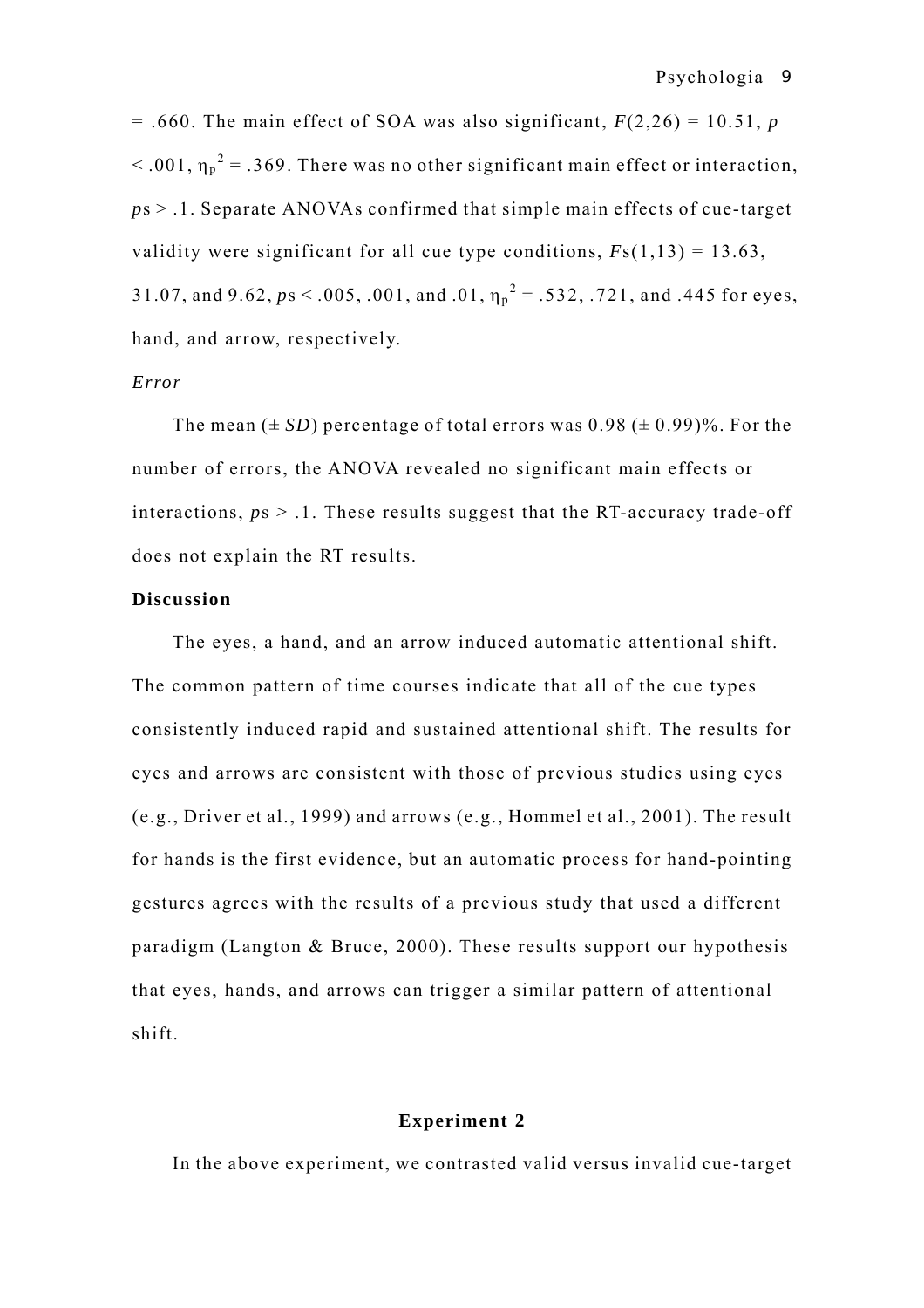$= .660$ . The main effect of SOA was also significant,  $F(2,26) = 10.51$ , *p*  $<$  0.01,  $\eta_p^2$  = 0.369. There was no other significant main effect or interaction, *p*s > .1. Separate ANOVAs confirmed that simple main effects of cue-target validity were significant for all cue type conditions,  $Fs(1,13) = 13.63$ , 31.07, and 9.62,  $ps < .005, .001,$  and  $.01, \eta_p^2 = .532, .721,$  and .445 for eyes, hand, and arrow, respectively.

# *Error*

The mean  $(\pm SD)$  percentage of total errors was  $0.98 (\pm 0.99)$ %. For the number of errors, the ANOVA revealed no significant main effects or interactions,  $ps > 0.1$ . These results suggest that the RT-accuracy trade-off does not explain the RT results.

# **Discussion**

The eyes, a hand, and an arrow induced automatic attentional shift. The common pattern of time courses indicate that all of the cue types consistently induced rapid and sustained attentional shift. The results for eyes and arrows are consistent with those of previous studies using eyes (e.g., Driver et al., 1999) and arrows (e.g., Hommel et al., 2001). The result for hands is the first evidence, but an automatic process for hand-pointing gestures agrees with the results of a previous study that used a different paradigm (Langton & Bruce, 2000). These results support our hypothesis that eyes, hands, and arrows can trigger a similar pattern of attentional shift.

## **Experiment 2**

In the above experiment, we contrasted valid versus invalid cue-target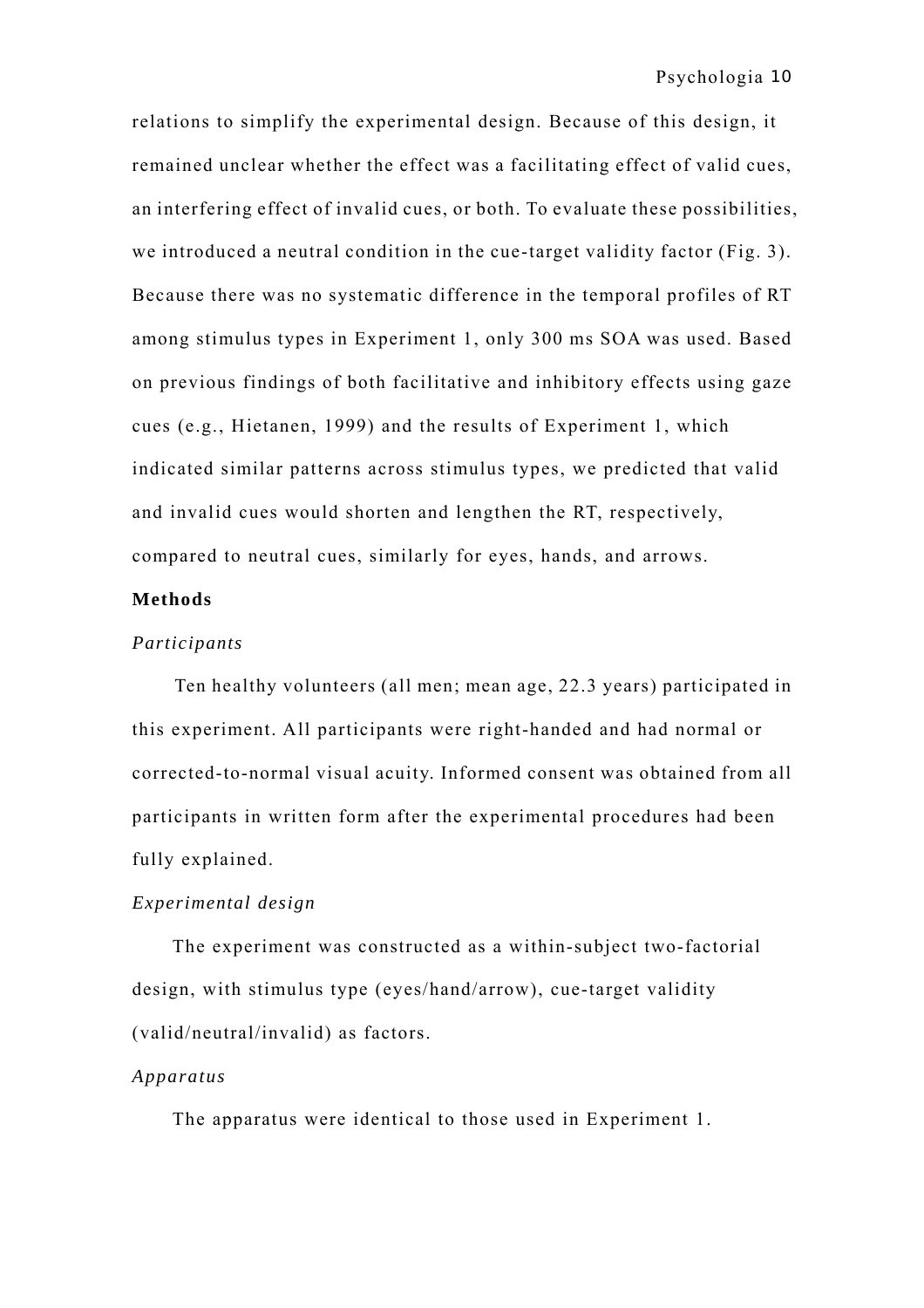relations to simplify the experimental design. Because of this design, it remained unclear whether the effect was a facilitating effect of valid cues, an interfering effect of invalid cues, or both. To evaluate these possibilities, we introduced a neutral condition in the cue-target validity factor (Fig. 3). Because there was no systematic difference in the temporal profiles of RT among stimulus types in Experiment 1, only 300 ms SOA was used. Based on previous findings of both facilitative and inhibitory effects using gaze cues (e.g., Hietanen, 1999) and the results of Experiment 1, which indicated similar patterns across stimulus types, we predicted that valid and invalid cues would shorten and lengthen the RT, respectively, compared to neutral cues, similarly for eyes, hands, and arrows.

# **Methods**

## *Participants*

Ten healthy volunteers (all men; mean age, 22.3 years) participated in this experiment. All participants were right-handed and had normal or corrected-to-normal visual acuity. Informed consent was obtained from all participants in written form after the experimental procedures had been fully explained.

# *Experimental design*

The experiment was constructed as a within-subject two-factorial design, with stimulus type (eyes/hand/arrow), cue-target validity (valid/neutral/invalid) as factors.

### *Apparatus*

The apparatus were identical to those used in Experiment 1.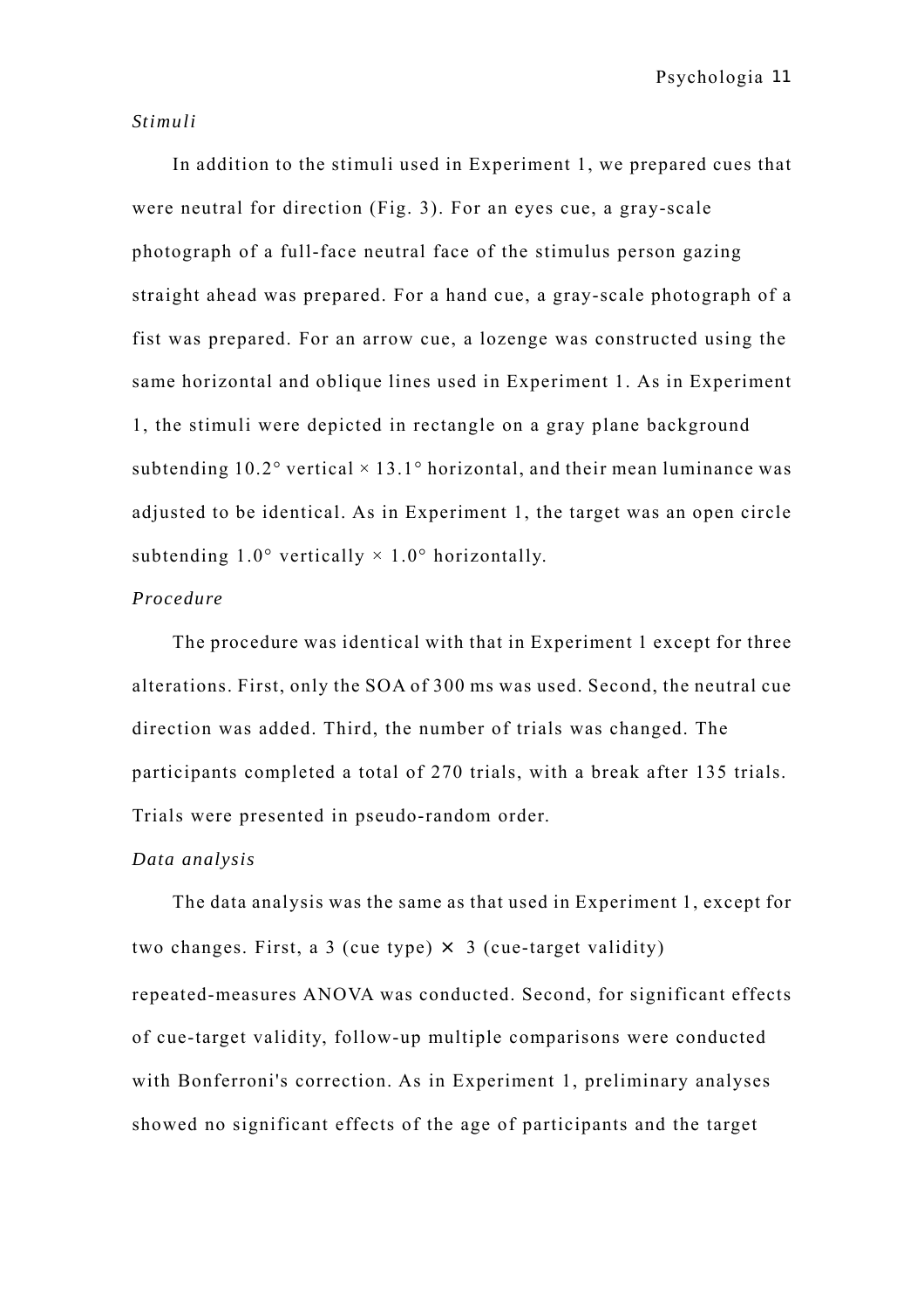### *Stimuli*

In addition to the stimuli used in Experiment 1, we prepared cues that were neutral for direction (Fig. 3). For an eyes cue, a gray-scale photograph of a full-face neutral face of the stimulus person gazing straight ahead was prepared. For a hand cue, a gray-scale photograph of a fist was prepared. For an arrow cue, a lozenge was constructed using the same horizontal and oblique lines used in Experiment 1. As in Experiment 1, the stimuli were depicted in rectangle on a gray plane background subtending  $10.2^{\circ}$  vertical  $\times$  13.1 $^{\circ}$  horizontal, and their mean luminance was adjusted to be identical. As in Experiment 1, the target was an open circle subtending  $1.0^{\circ}$  vertically  $\times 1.0^{\circ}$  horizontally.

### *Procedure*

The procedure was identical with that in Experiment 1 except for three alterations. First, only the SOA of 300 ms was used. Second, the neutral cue direction was added. Third, the number of trials was changed. The participants completed a total of 270 trials, with a break after 135 trials. Trials were presented in pseudo-random order.

# *Data analysis*

The data analysis was the same as that used in Experiment 1, except for two changes. First, a 3 (cue type)  $\times$  3 (cue-target validity) repeated-measures ANOVA was conducted. Second, for significant effects of cue-target validity, follow-up multiple comparisons were conducted with Bonferroni's correction. As in Experiment 1, preliminary analyses showed no significant effects of the age of participants and the target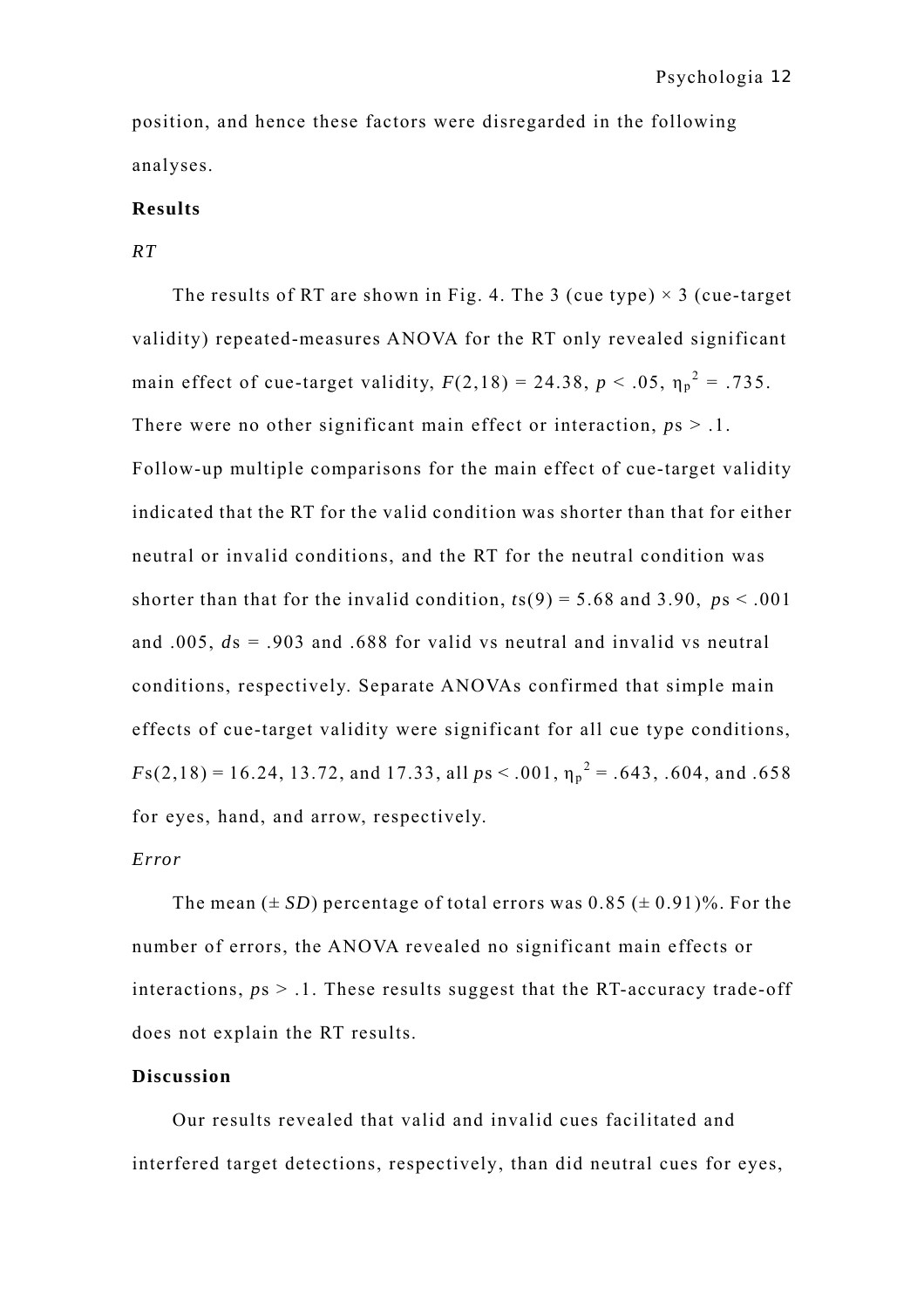position, and hence these factors were disregarded in the following analyses.

# **Results**

*RT* 

The results of RT are shown in Fig. 4. The 3 (cue type)  $\times$  3 (cue-target validity) repeated-measures ANOVA for the RT only revealed significant main effect of cue-target validity,  $F(2,18) = 24.38$ ,  $p < .05$ ,  $\eta_p^2 = .735$ . There were no other significant main effect or interaction,  $ps > 0.1$ . Follow-up multiple comparisons for the main effect of cue-target validity indicated that the RT for the valid condition was shorter than that for either neutral or invalid conditions, and the RT for the neutral condition was shorter than that for the invalid condition,  $t s(9) = 5.68$  and 3.90,  $ps < .001$ and .005, *d*s = .903 and .688 for valid vs neutral and invalid vs neutral conditions, respectively. Separate ANOVAs confirmed that simple main effects of cue-target validity were significant for all cue type conditions,  $F(s(2,18) = 16.24, 13.72,$  and 17.33, all  $ps < .001, \eta_p^2 = .643, .604,$  and .658 for eyes, hand, and arrow, respectively.

# *Error*

The mean  $(\pm SD)$  percentage of total errors was  $0.85 (\pm 0.91)$ %. For the number of errors, the ANOVA revealed no significant main effects or interactions,  $ps > 0.1$ . These results suggest that the RT-accuracy trade-off does not explain the RT results.

### **Discussion**

Our results revealed that valid and invalid cues facilitated and interfered target detections, respectively, than did neutral cues for eyes,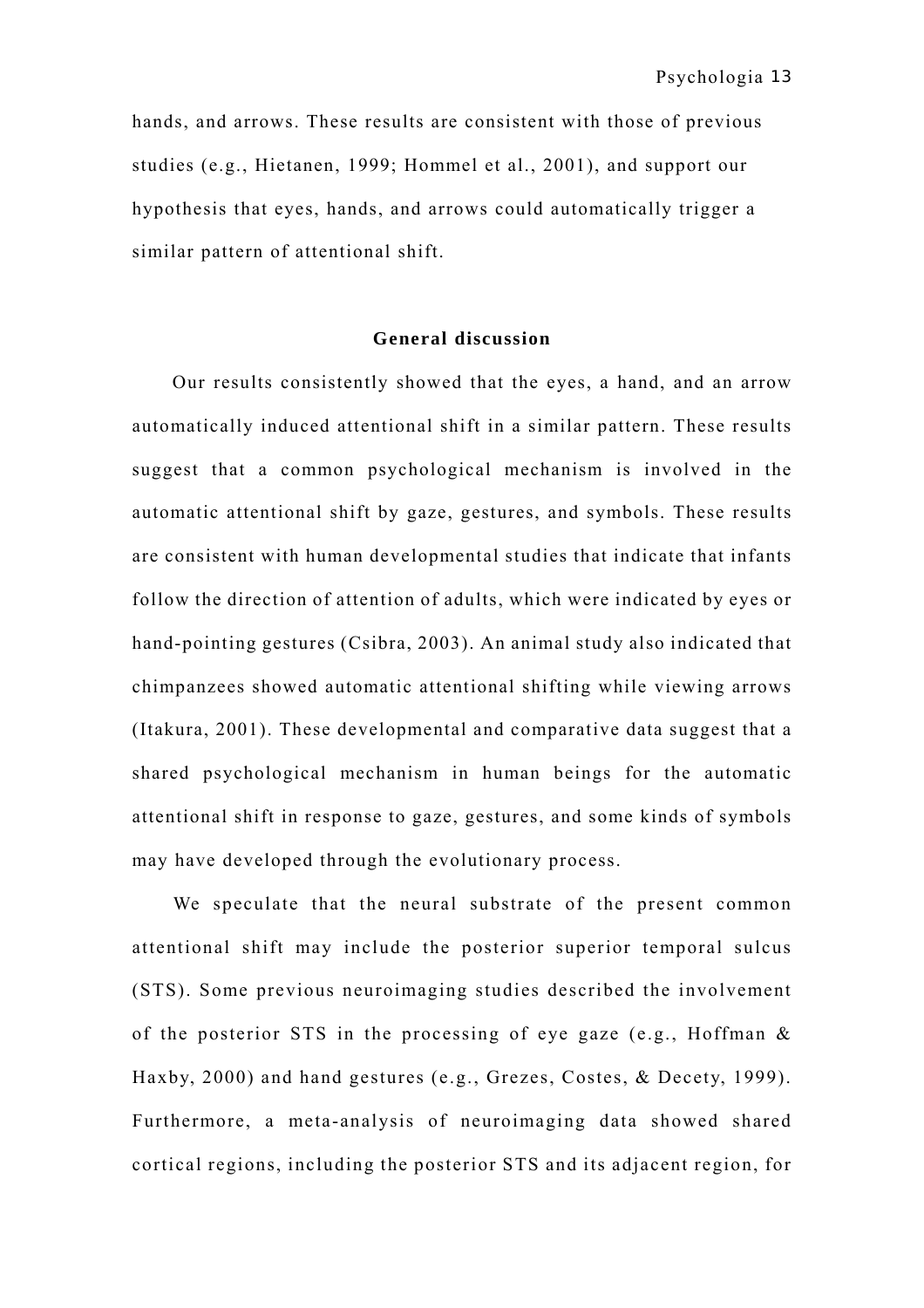hands, and arrows. These results are consistent with those of previous studies (e.g., Hietanen, 1999; Hommel et al., 2001), and support our hypothesis that eyes, hands, and arrows could automatically trigger a similar pattern of attentional shift.

# **General discussion**

Our results consistently showed that the eyes, a hand, and an arrow automatically induced attentional shift in a similar pattern. These results suggest that a common psychological mechanism is involved in the automatic attentional shift by gaze, gestures, and symbols. These results are consistent with human developmental studies that indicate that infants follow the direction of attention of adults, which were indicated by eyes or hand-pointing gestures (Csibra, 2003). An animal study also indicated that chimpanzees showed automatic attentional shifting while viewing arrows (Itakura, 2001). These developmental and comparative data suggest that a shared psychological mechanism in human beings for the automatic attentional shift in response to gaze, gestures, and some kinds of symbols may have developed through the evolutionary process.

We speculate that the neural substrate of the present common attentional shift may include the posterior superior temporal sulcus (STS). Some previous neuroimaging studies described the involvement of the posterior STS in the processing of eye gaze (e.g., Hoffman & Haxby, 2000) and hand gestures (e.g., Grezes, Costes, & Decety, 1999). Furthermore, a meta-analysis of neuroimaging data showed shared cortical regions, including the posterior STS and its adjacent region, for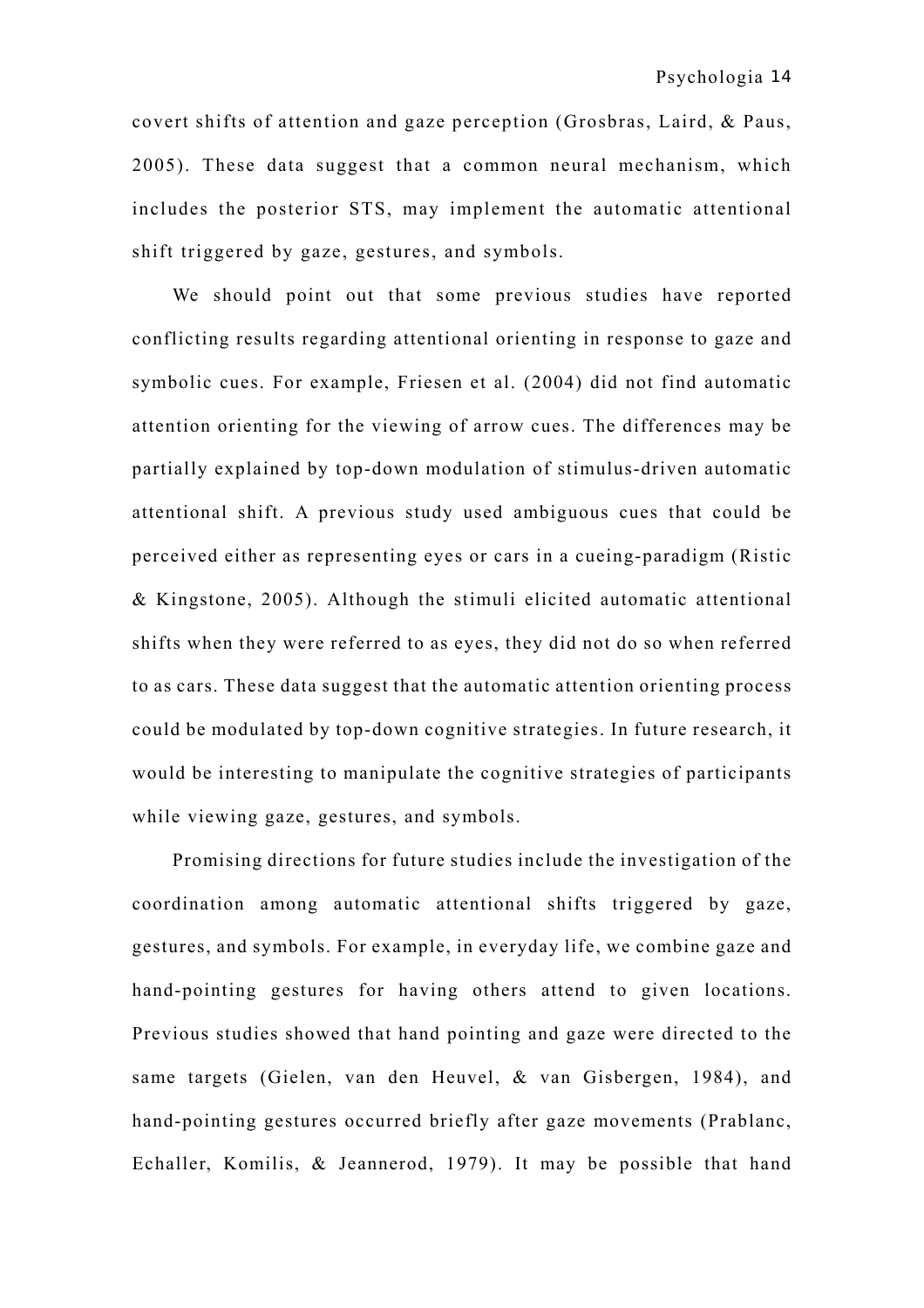covert shifts of attention and gaze perception (Grosbras, Laird, & Paus, 2005). These data suggest that a common neural mechanism, which includes the posterior STS, may implement the automatic attentional shift triggered by gaze, gestures, and symbols.

We should point out that some previous studies have reported conflicting results regarding attentional orienting in response to gaze and symbolic cues. For example, Friesen et al. (2004) did not find automatic attention orienting for the viewing of arrow cues. The differences may be partially explained by top-down modulation of stimulus-driven automatic attentional shift. A previous study used ambiguous cues that could be perceived either as representing eyes or cars in a cueing-paradigm (Ristic & Kingstone, 2005). Although the stimuli elicited automatic attentional shifts when they were referred to as eyes, they did not do so when referred to as cars. These data suggest that the automatic attention orienting process could be modulated by top-down cognitive strategies. In future research, it would be interesting to manipulate the cognitive strategies of participants while viewing gaze, gestures, and symbols.

Promising directions for future studies include the investigation of the coordination among automatic attentional shifts triggered by gaze, gestures, and symbols. For example, in everyday life, we combine gaze and hand-pointing gestures for having others attend to given locations. Previous studies showed that hand pointing and gaze were directed to the same targets (Gielen, van den Heuvel, & van Gisbergen, 1984), and hand-pointing gestures occurred briefly after gaze movements (Prablanc, Echaller, Komilis, & Jeannerod, 1979). It may be possible that hand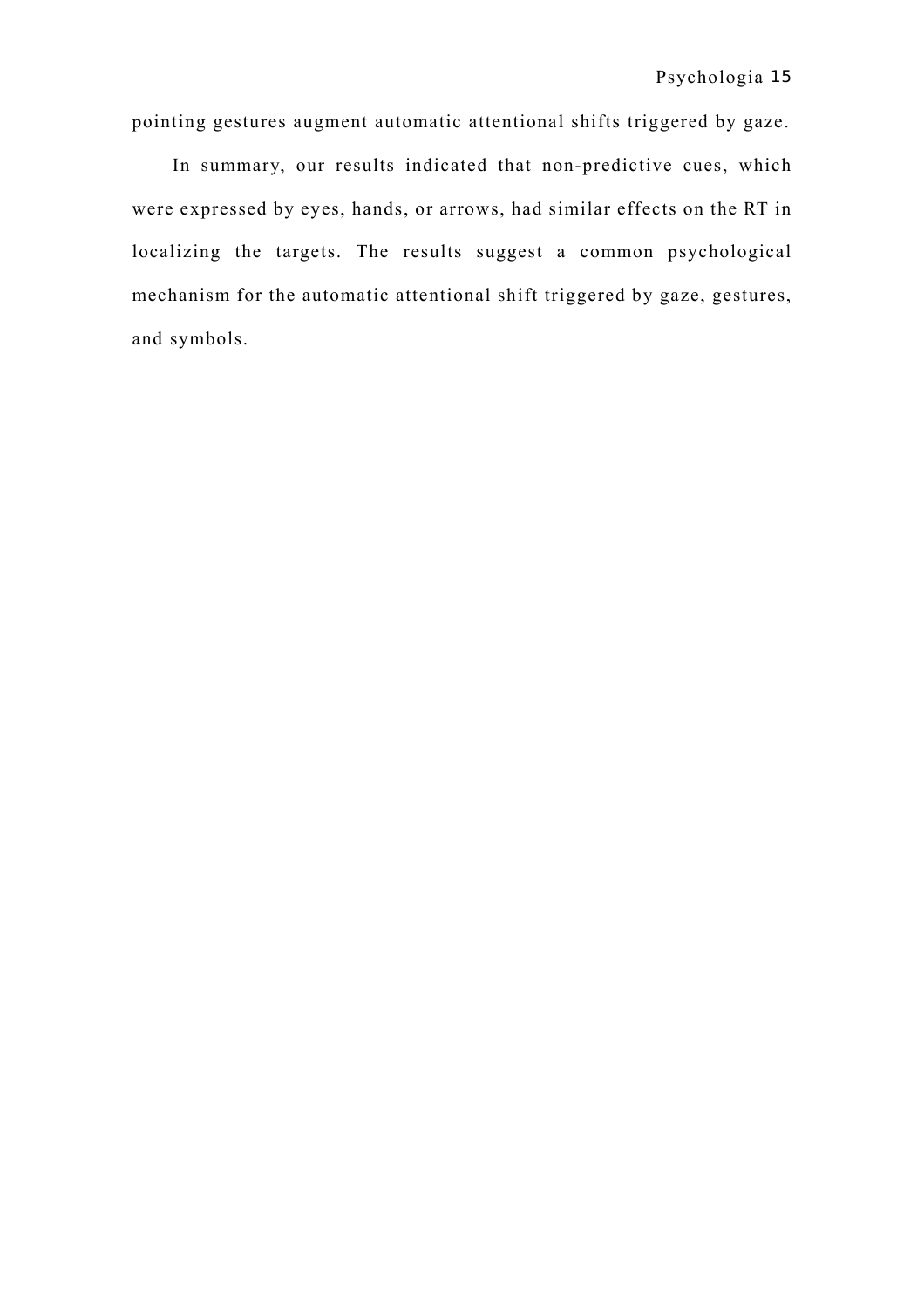pointing gestures augment automatic attentional shifts triggered by gaze.

In summary, our results indicated that non-predictive cues, which were expressed by eyes, hands, or arrows, had similar effects on the RT in localizing the targets. The results suggest a common psychological mechanism for the automatic attentional shift triggered by gaze, gestures, and symbols.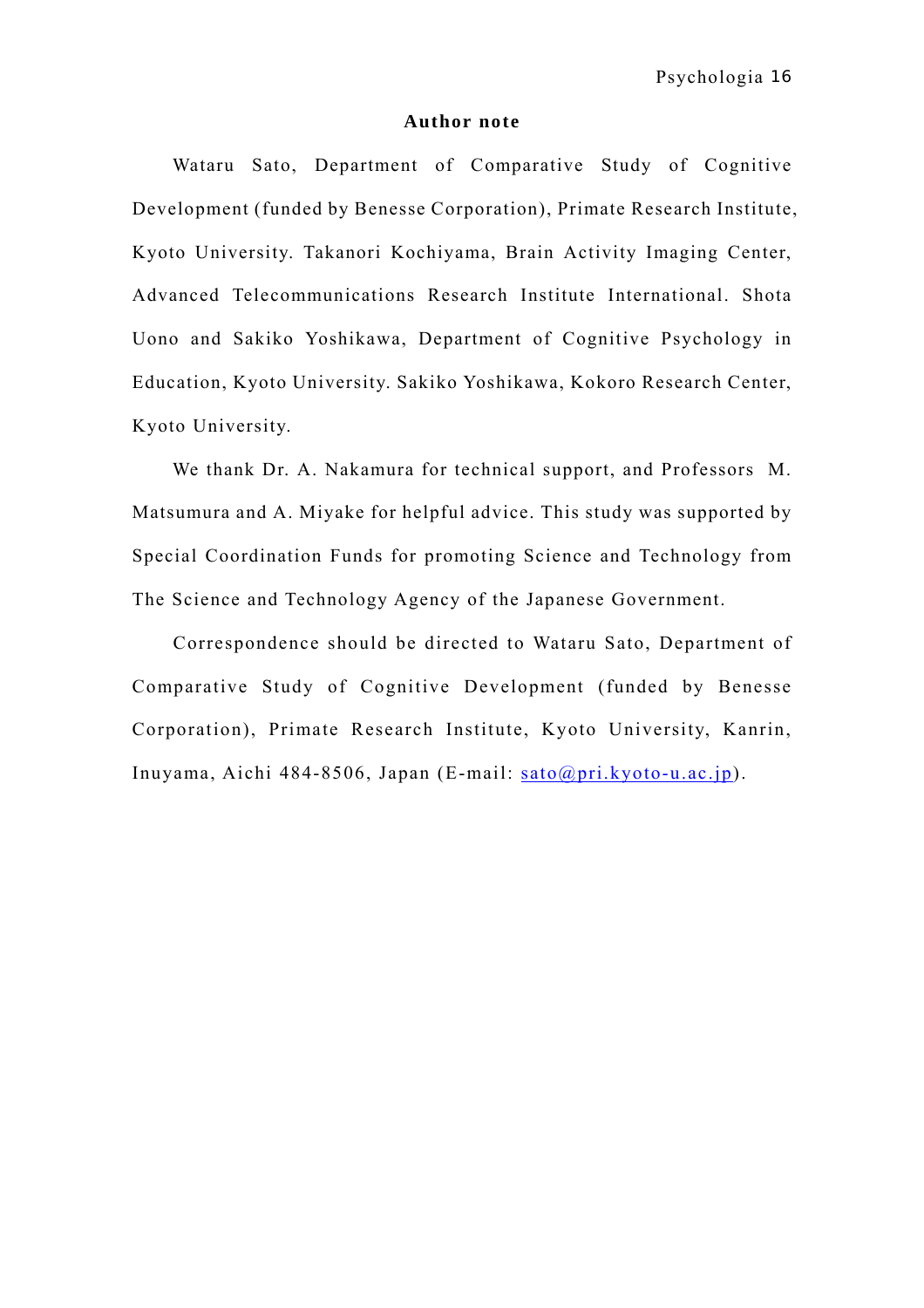#### **Author note**

Wataru Sato, Department of Comparative Study of Cognitive Development (funded by Benesse Corporation), Primate Research Institute, Kyoto University. Takanori Kochiyama, Brain Activity Imaging Center, Advanced Telecommunications Research Institute International. Shota Uono and Sakiko Yoshikawa, Department of Cognitive Psychology in Education, Kyoto University. Sakiko Yoshikawa, Kokoro Research Center, Kyoto University.

We thank Dr. A. Nakamura for technical support, and Professors M. Matsumura and A. Miyake for helpful advice. This study was supported by Special Coordination Funds for promoting Science and Technology from The Science and Technology Agency of the Japanese Government.

Correspondence should be directed to Wataru Sato, Department of Comparative Study of Cognitive Development (funded by Benesse Corporation), Primate Research Institute, Kyoto University, Kanrin, Inuyama, Aichi 484-8506, Japan (E-mail: [sato@pri.kyoto-u.ac.jp](mailto:sato@pri.kyoto-u.ac.jp)).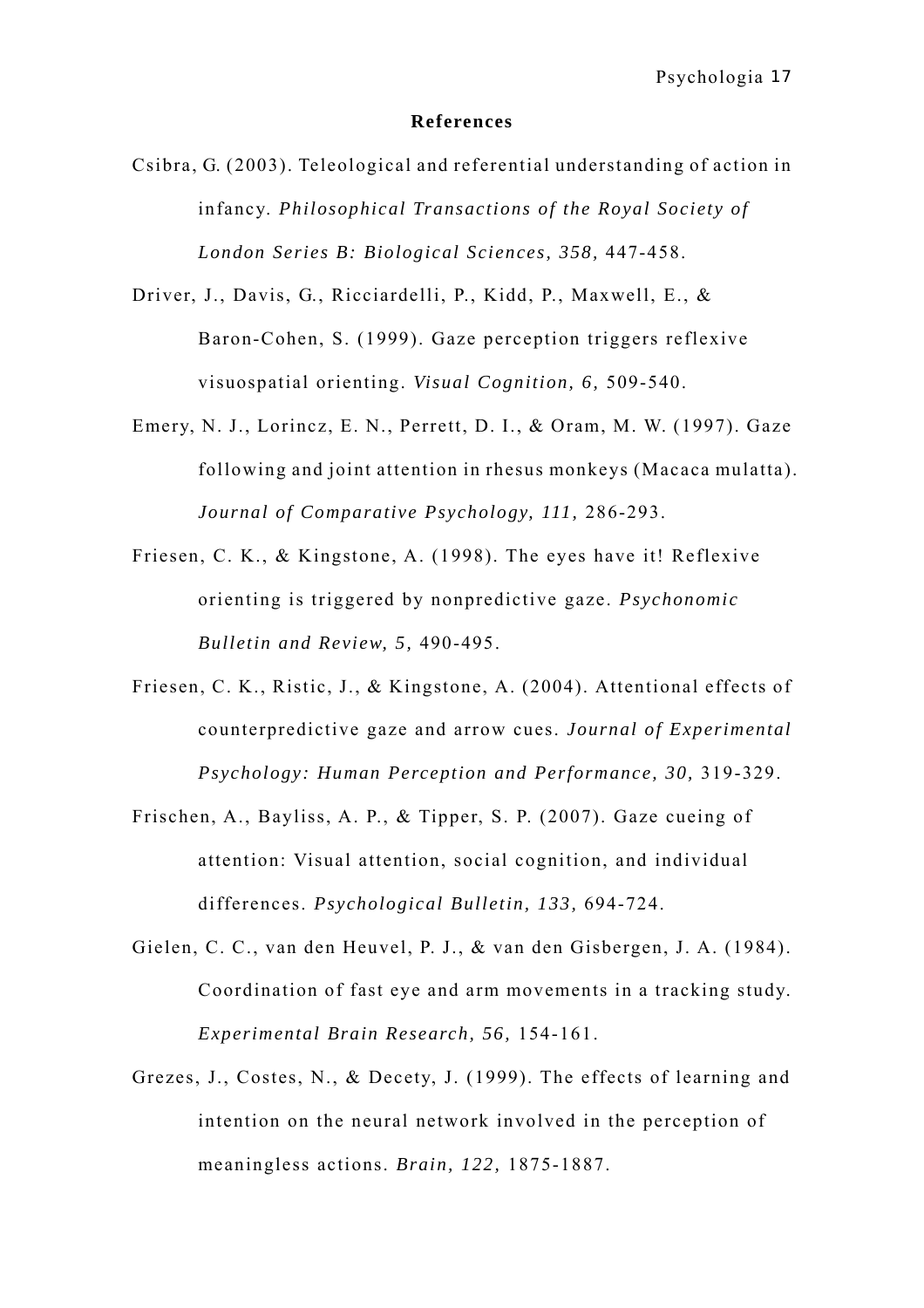#### **References**

- Csibra, G. (2003). Teleological and referential understanding of action in infancy. *Philosophical Transactions of the Royal Society of London Series B: Biological Sciences, 358,* 447-458.
- Driver, J., Davis, G., Ricciardelli, P., Kidd, P., Maxwell, E., & Baron-Cohen, S. (1999). Gaze perception triggers reflexive visuospatial orienting. *Visual Cognition, 6,* 509-540.
- Emery, N. J., Lorincz, E. N., Perrett, D. I., & Oram, M. W. (1997). Gaze following and joint attention in rhesus monkeys (Macaca mulatta). *Journal of Comparative Psychology, 111,* 286-293.
- Friesen, C. K., & Kingstone, A. (1998). The eyes have it! Reflexive orienting is triggered by nonpredictive gaze. *Psychonomic Bulletin and Review, 5,* 490-495.
- Friesen, C. K., Ristic, J., & Kingstone, A. (2004). Attentional effects of counterpredictive gaze and arrow cues. *Journal of Experimental Psychology: Human Perception and Performance, 30,* 319-329.
- Frischen, A., Bayliss, A. P., & Tipper, S. P. (2007). Gaze cueing of attention: Visual attention, social cognition, and individual differences. *Psychological Bulletin, 133,* 694-724.
- Gielen, C. C., van den Heuvel, P. J., & van den Gisbergen, J. A. (1984). Coordination of fast eye and arm movements in a tracking study. *Experimental Brain Research, 56,* 154-161.
- Grezes, J., Costes, N., & Decety, J. (1999). The effects of learning and intention on the neural network involved in the perception of meaningless actions. *Brain, 122,* 1875-1887.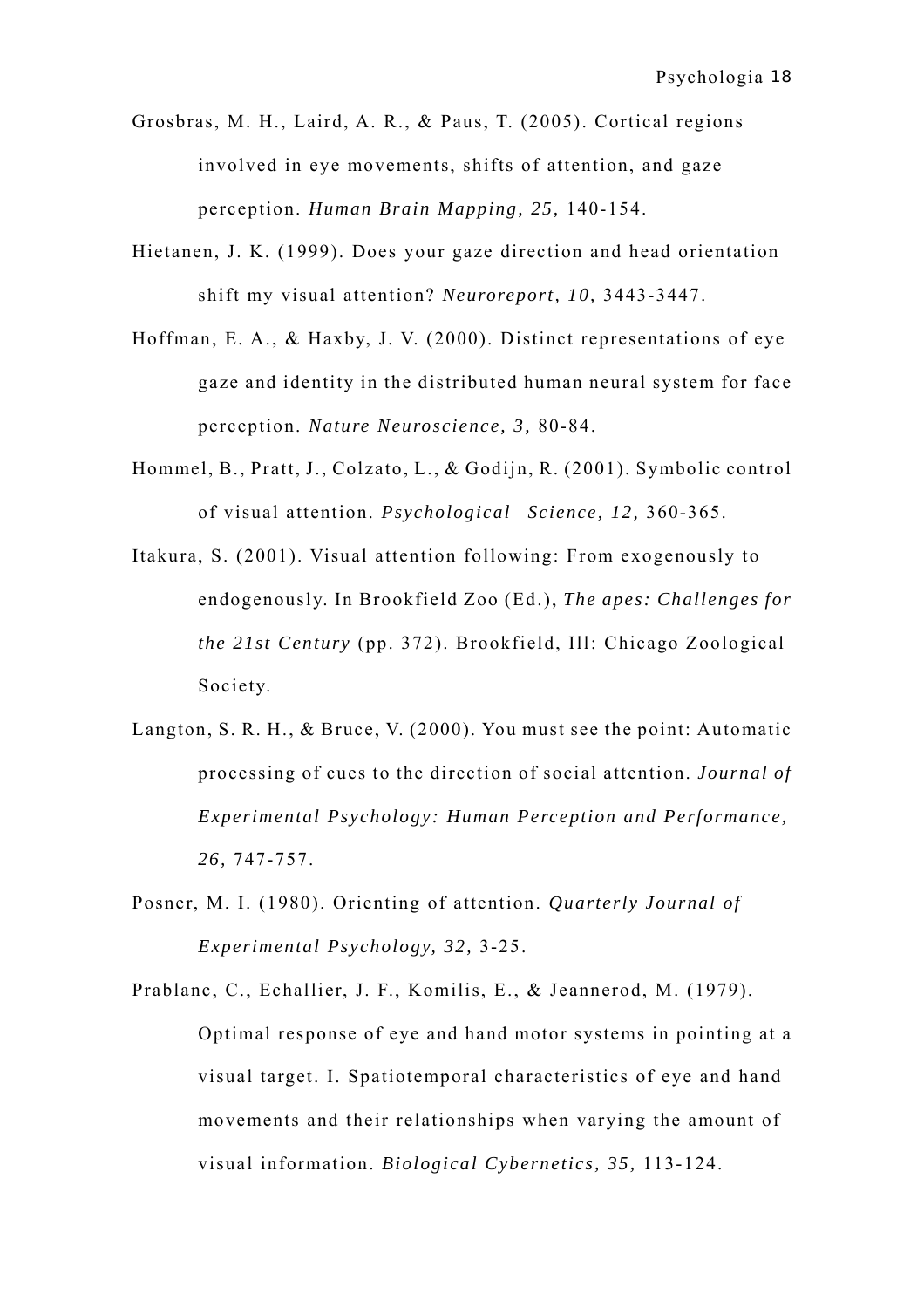- Grosbras, M. H., Laird, A. R., & Paus, T. (2005). Cortical regions involved in eye movements, shifts of attention, and gaze perception. *Human Brain Mapping, 25,* 140-154.
- Hietanen, J. K. (1999). Does your gaze direction and head orientation shift my visual attention? *Neuroreport, 10,* 3443-3447.
- Hoffman, E. A., & Haxby, J. V. (2000). Distinct representations of eye gaze and identity in the distributed human neural system for face perception. *Nature Neuroscience, 3,* 80-84.
- Hommel, B., Pratt, J., Colzato, L., & Godijn, R. (2001). Symbolic control of visual attention. *Psychological Science, 12,* 360-365.
- Itakura, S. (2001). Visual attention following: From exogenously to endogenously. In Brookfield Zoo (Ed.), *The apes: Challenges for the 21st Century* (pp. 372). Brookfield, Ill: Chicago Zoological Society.
- Langton, S. R. H., & Bruce, V. (2000). You must see the point: Automatic processing of cues to the direction of social attention. *Journal of Experimental Psychology: Human Perception and Performance, 26,* 747-757.
- Posner, M. I. (1980). Orienting of attention. *Quarterly Journal of Experimental Psychology, 32,* 3-25.
- Prablanc, C., Echallier, J. F., Komilis, E., & Jeannerod, M. (1979). Optimal response of eye and hand motor systems in pointing at a visual target. I. Spatiotemporal characteristics of eye and hand movements and their relationships when varying the amount of visual information. *Biological Cybernetics, 35,* 113-124.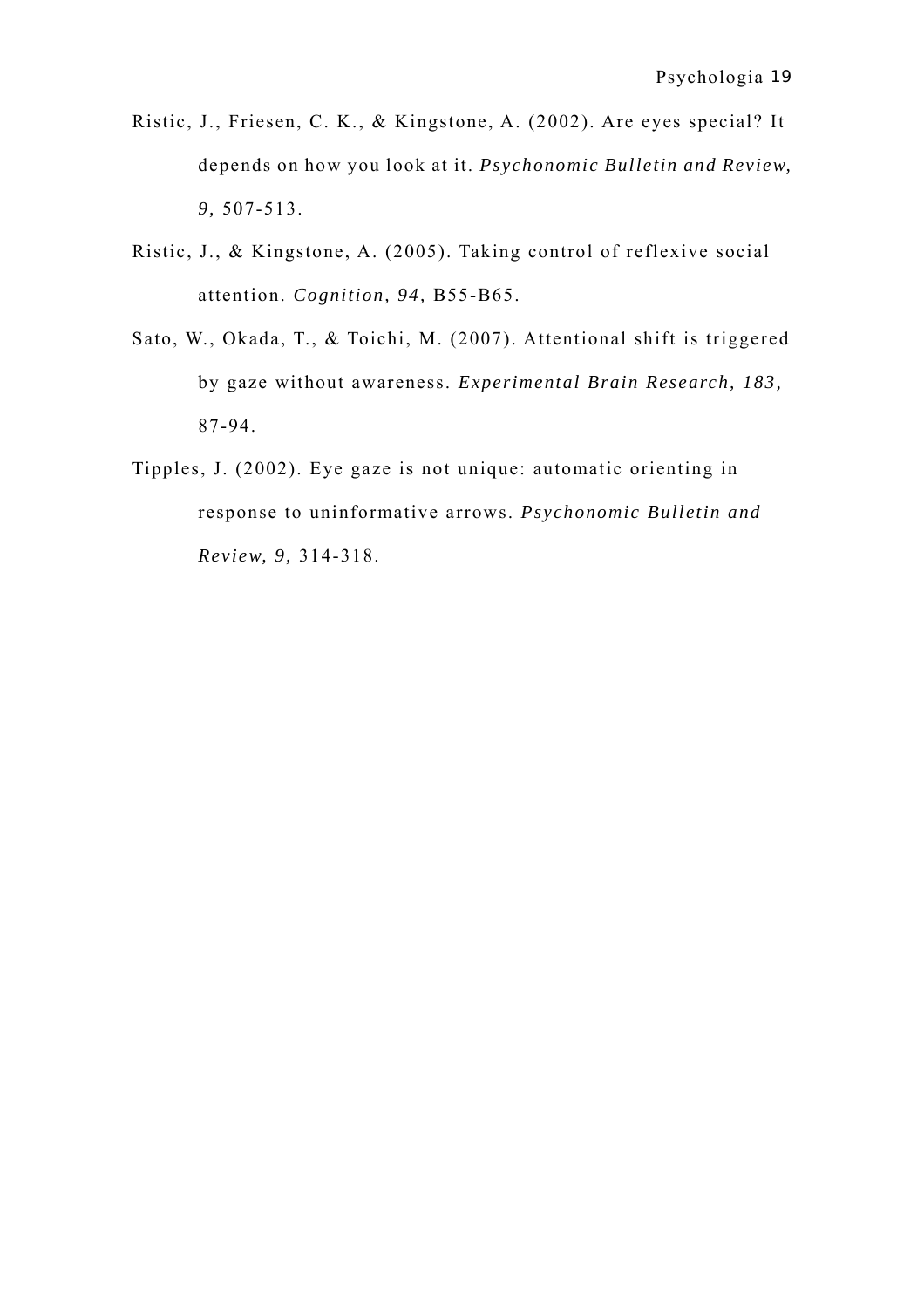- Ristic, J., Friesen, C. K., & Kingstone, A. (2002). Are eyes special? It depends on how you look at it. *Psychonomic Bulletin and Review, 9,* 507-513.
- Ristic, J., & Kingstone, A. (2005). Taking control of reflexive social attention. *Cognition, 94,* B55-B65.
- Sato, W., Okada, T., & Toichi, M. (2007). Attentional shift is triggered by gaze without awareness. *Experimental Brain Research, 183,* 87-94.
- Tipples, J. (2002). Eye gaze is not unique: automatic orienting in response to uninformative arrows. *Psychonomic Bulletin and Review, 9,* 314-318.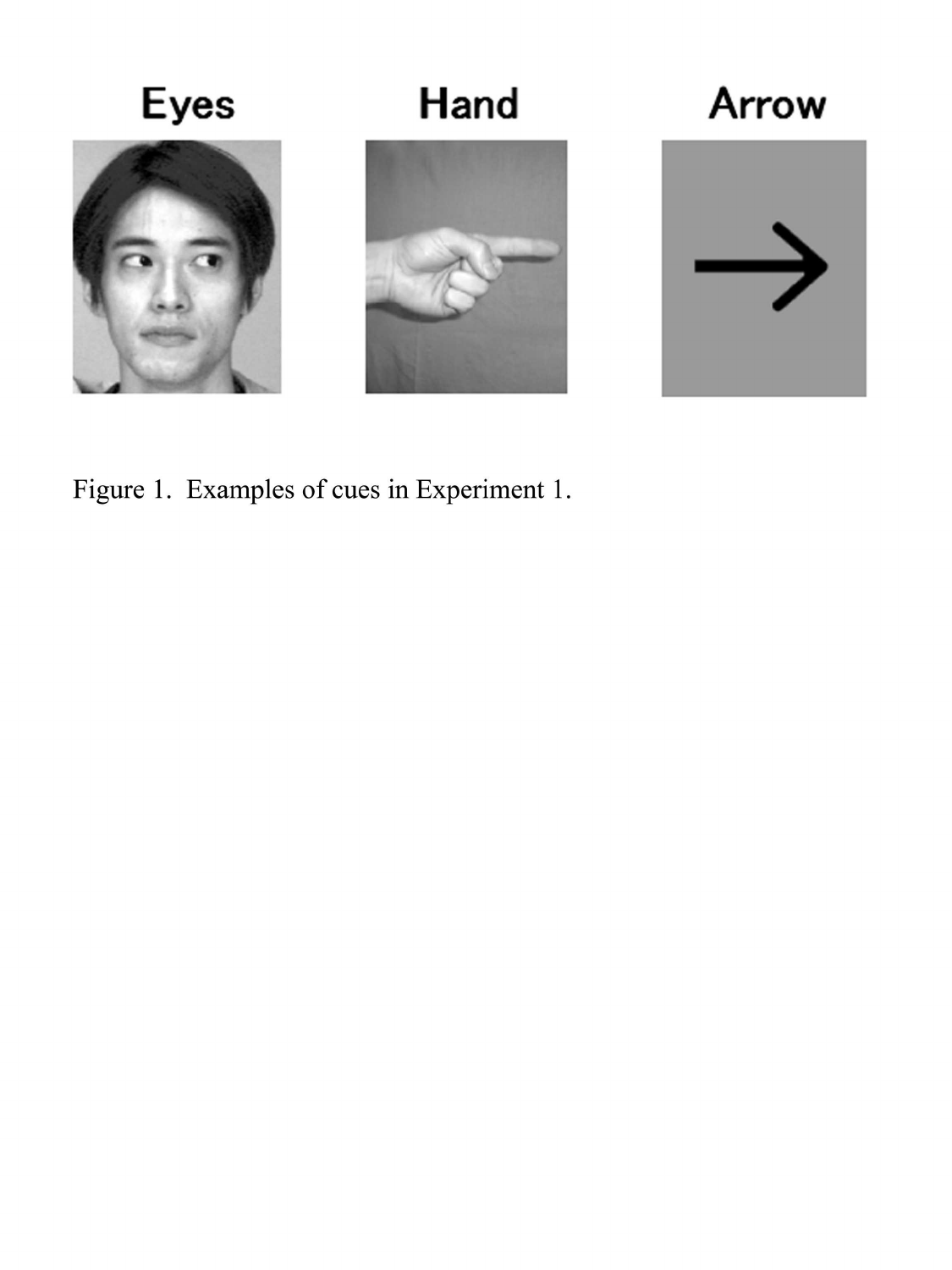

Figure 1. Examples of cues in Experiment 1.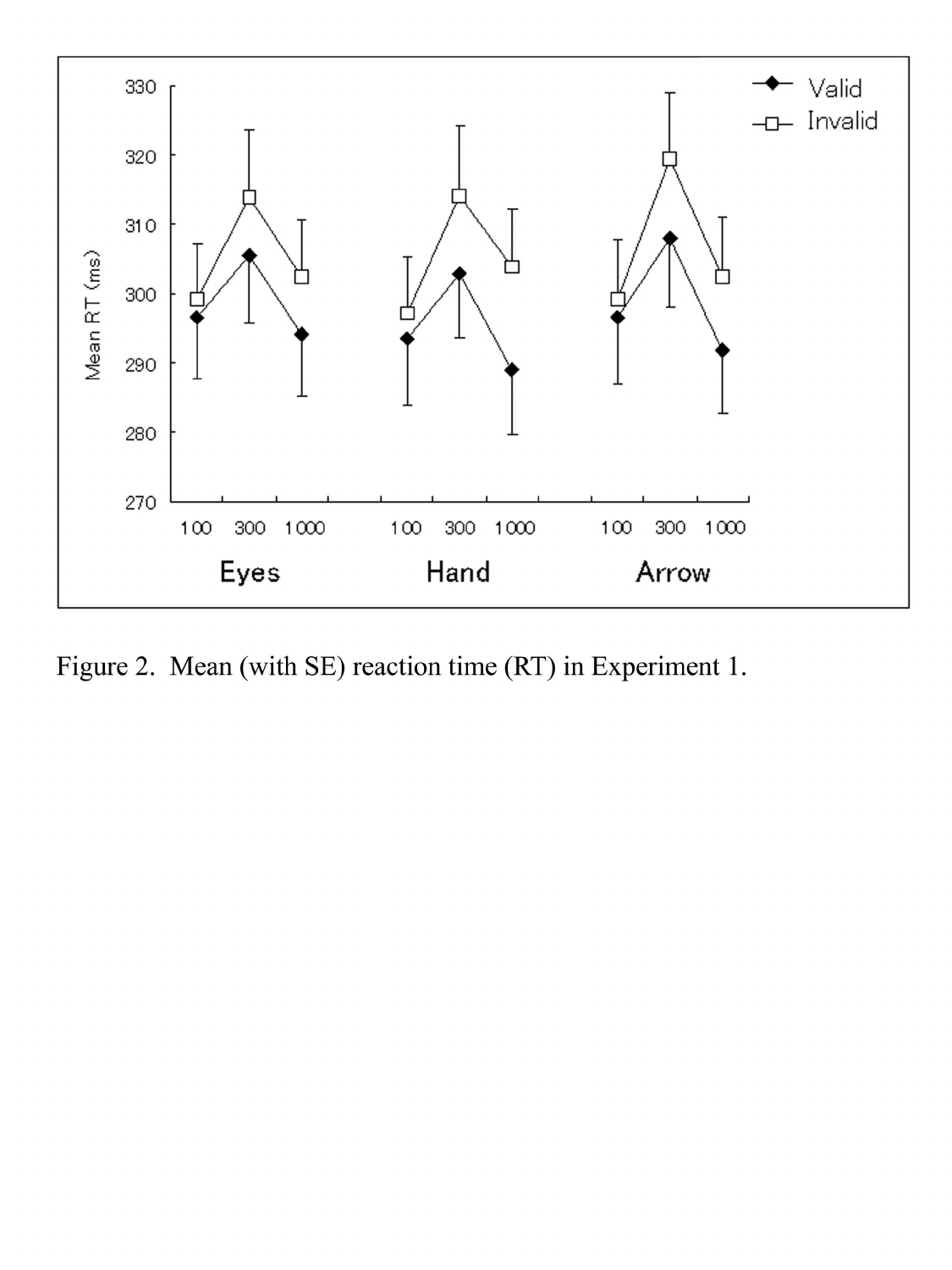

Figure 2. Mean (with SE) reaction time (RT) in Experiment 1.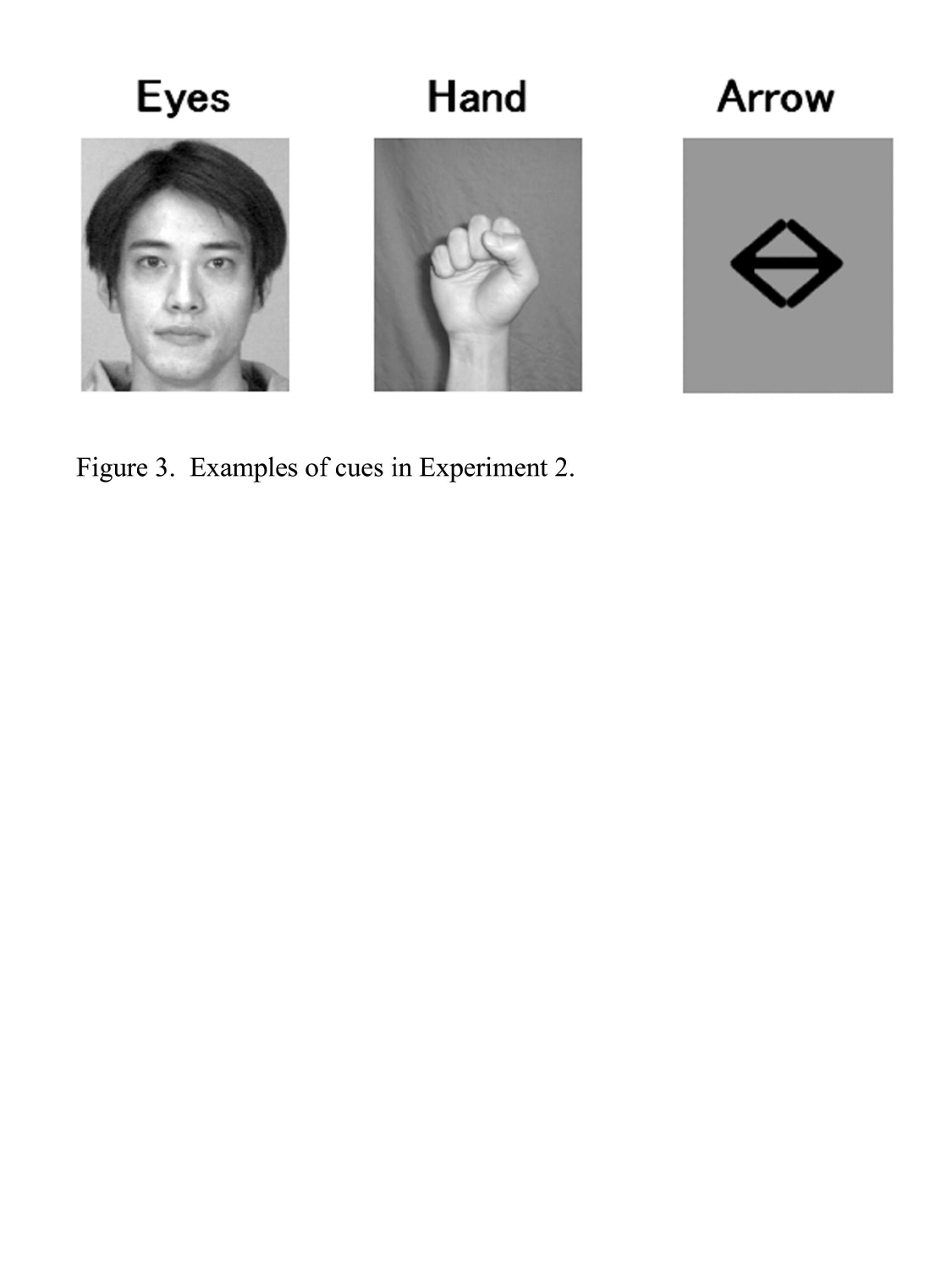

Figure 3. Examples of cues in Experiment 2.